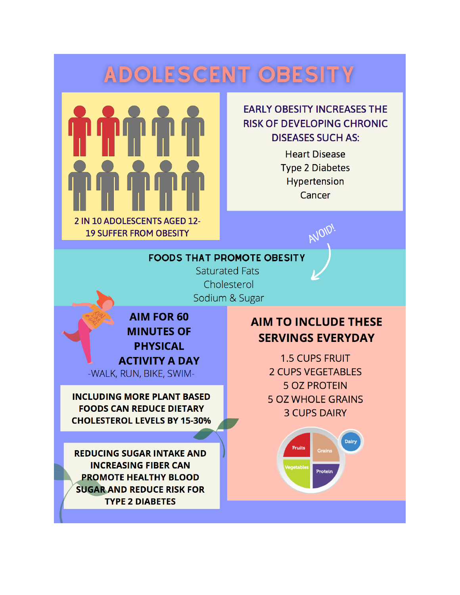# **ADOLESCENT OBESITY**



### **EARLY OBESITY INCREASES THE RISK OF DEVELOPING CHRONIC DISEASES SUCH AS:**

**Heart Disease Type 2 Diabetes** Hypertension Cancer

AVOID

#### **FOODS THAT PROMOTE OBESITY**

**Saturated Fats** Cholesterol Sodium & Sugar

**AIM FOR 60 MINUTES OF PHYSICAL ACTIVITY A DAY** -WALK, RUN, BIKE, SWIM-

**INCLUDING MORE PLANT BASED FOODS CAN REDUCE DIETARY CHOLESTEROL LEVELS BY 15-30%** 

**REDUCING SUGAR INTAKE AND INCREASING FIBER CAN PROMOTE HEALTHY BLOOD SUGAR AND REDUCE RISK FOR TYPE 2 DIABETES** 

## **AIM TO INCLUDE THESE SERVINGS EVERYDAY**

**1.5 CUPS FRUIT 2 CUPS VEGETABLES 5 OZ PROTEIN 5 OZ WHOLE GRAINS 3 CUPS DAIRY** 

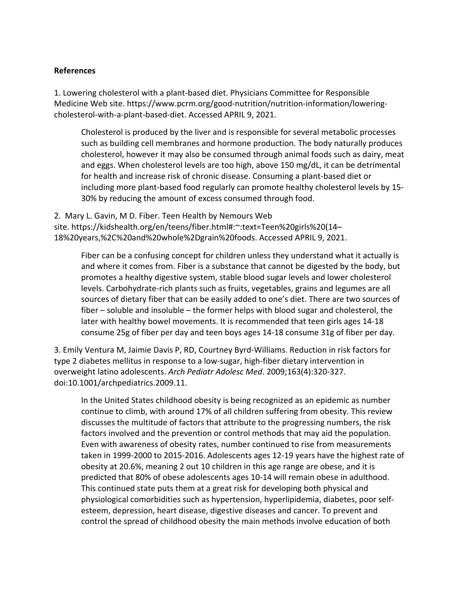#### **References**

1. Lowering cholesterol with a plant-based diet. Physicians Committee for Responsible Medicine Web site. [https://www.pcrm.org/good-nutrition/nutrition-information/lowering](https://www.pcrm.org/good-nutrition/nutrition-information/lowering-cholesterol-with-a-plant-based-diet)[cholesterol-with-a-plant-based-diet.](https://www.pcrm.org/good-nutrition/nutrition-information/lowering-cholesterol-with-a-plant-based-diet) Accessed APRIL 9, 2021.

Cholesterol is produced by the liver and is responsible for several metabolic processes such as building cell membranes and hormone production. The body naturally produces cholesterol, however it may also be consumed through animal foods such as dairy, meat and eggs. When cholesterol levels are too high, above 150 mg/dL, it can be detrimental for health and increase risk of chronic disease. Consuming a plant-based diet or including more plant-based food regularly can promote healthy cholesterol levels by 15- 30% by reducing the amount of excess consumed through food.

2. Mary L. Gavin, M D. Fiber. Teen Health by Nemours Web site. [https://kidshealth.org/en/teens/fiber.html#:~:text=Teen%20girls%20\(14–](https://kidshealth.org/en/teens/fiber.html#:%7E:text=Teen%20girls%20(14%E2%80%9318%20years,%2C%20and%20whole%2Dgrain%20foods) [18%20years,%2C%20and%20whole%2Dgrain%20foods.](https://kidshealth.org/en/teens/fiber.html#:%7E:text=Teen%20girls%20(14%E2%80%9318%20years,%2C%20and%20whole%2Dgrain%20foods) Accessed APRIL 9, 2021.

Fiber can be a confusing concept for children unless they understand what it actually is and where it comes from. Fiber is a substance that cannot be digested by the body, but promotes a healthy digestive system, stable blood sugar levels and lower cholesterol levels. Carbohydrate-rich plants such as fruits, vegetables, grains and legumes are all sources of dietary fiber that can be easily added to one's diet. There are two sources of fiber – soluble and insoluble – the former helps with blood sugar and cholesterol, the later with healthy bowel movements. It is recommended that teen girls ages 14-18 consume 25g of fiber per day and teen boys ages 14-18 consume 31g of fiber per day.

3. Emily Ventura M, Jaimie Davis P, RD, Courtney Byrd-Williams. Reduction in risk factors for type 2 diabetes mellitus in response to a low-sugar, high-fiber dietary intervention in overweight latino adolescents. *Arch Pediatr Adolesc Med*. 2009;163(4):320-327. doi:10.1001/archpediatrics.2009.11.

In the United States childhood obesity is being recognized as an epidemic as number continue to climb, with around 17% of all children suffering from obesity. This review discusses the multitude of factors that attribute to the progressing numbers, the risk factors involved and the prevention or control methods that may aid the population. Even with awareness of obesity rates, number continued to rise from measurements taken in 1999-2000 to 2015-2016. Adolescents ages 12-19 years have the highest rate of obesity at 20.6%, meaning 2 out 10 children in this age range are obese, and it is predicted that 80% of obese adolescents ages 10-14 will remain obese in adulthood. This continued state puts them at a great risk for developing both physical and physiological comorbidities such as hypertension, hyperlipidemia, diabetes, poor selfesteem, depression, heart disease, digestive diseases and cancer. To prevent and control the spread of childhood obesity the main methods involve education of both